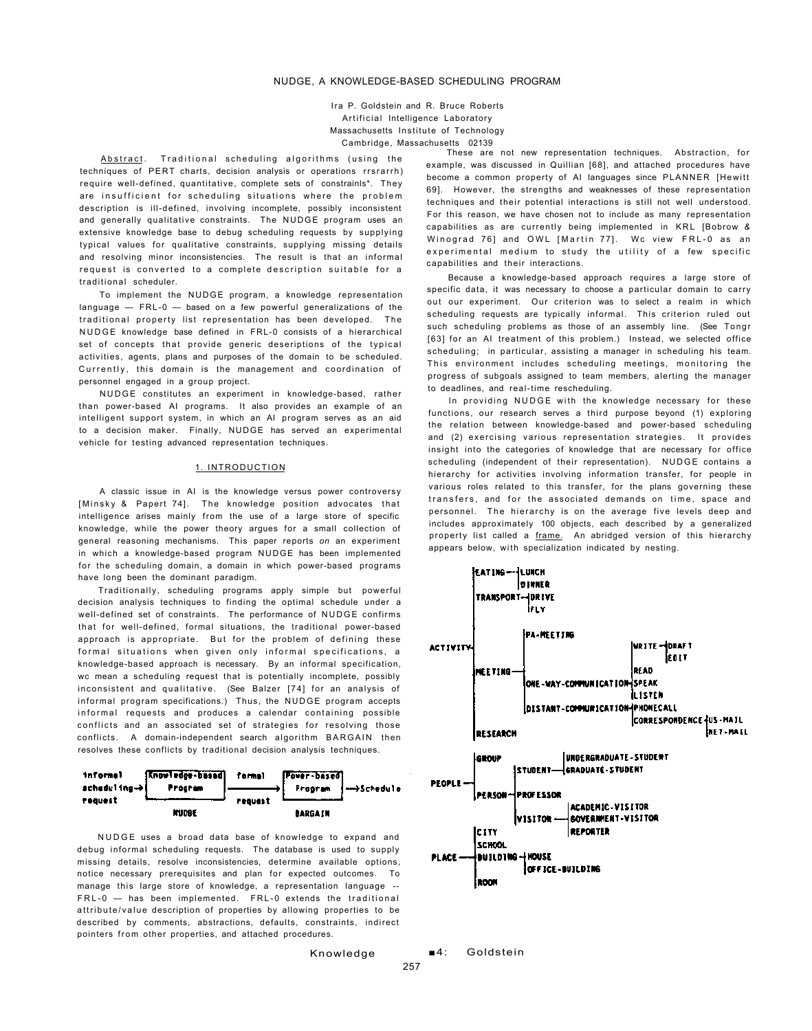# NUDGE, A KNOWLEDGE-BASED SCHEDULING PROGRAM

Ira P. Goldstein and R. Bruce Roberts Artificial Intelligence Laboratory Massachusetts Institute of Technology Cambridge, Massachusetts 02139

Abstract. Traditional scheduling algorithms (using the techniques of PERT charts, decision analysis or operations rrsrarrh) require well-defined, quantitative, complete sets of constrainls\*. They are insufficient for scheduling situations where the problem description is ill-defined, involving incomplete, possibly inconsistent and generally qualitative constraints. The NUDGE program uses an extensive knowledge base to debug scheduling requests by supplying typical values for qualitative constraints, supplying missing details and resolving minor inconsistencies. The result is that an informal request is converted to a complete description suitable for a traditional scheduler.

To implement the NUDGE program, a knowledge representation language — FRL-0 — based on a few powerful generalizations of the traditional property list representation has been developed. The NUDGE knowledge base defined in FRL-0 consists of a hierarchical set of concepts that provide generic deseriptions of the typical activities, agents, plans and purposes of the domain to be scheduled. Currently, this domain is the management and coordination of personnel engaged in a group project.

NUDGE constitutes an experiment in knowledge-based, rather than power-based AI programs. It also provides an example of an intelligent support system, in which an AI program serves as an aid to a decision maker. Finally, NUDGE has served an experimental vehicle for testing advanced representation techniques.

## 1. INTRODUCTION

A classic issue in AI is the knowledge versus power controversy [Minsky & Papert 74]. The knowledge position advocates that intelligence arises mainly from the use of a large store of specific knowledge, while the power theory argues for a small collection of general reasoning mechanisms. This paper reports *on* an experiment in which a knowledge-based program NUDGE has been implemented for the scheduling domain, a domain in which power-based programs have long been the dominant paradigm.

Traditionally, scheduling programs apply simple but powerful decision analysis techniques to finding the optimal schedule under a well-defined set of constraints. The performance of NUDGE confirms that for well-defined, formal situations, the traditional power-based approach is appropriate. But for the problem of defining these formal situations when given only informal specifications, a knowledge-based approach is necessary. By an informal specification, wc mean a scheduling request that is potentially incomplete, possibly inconsistent and qualitative. (See Balzer [74] for an analysis of informal program specifications.) Thus, the NUDGE program accepts informal requests and produces a calendar containing possible conflicts and an associated set of strategies for resolving those conflicts. A domain-independent search algorithm BARGAIN then resolves these conflicts by traditional decision analysis techniques.



NUDGE uses a broad data base of knowledge to expand and debug informal scheduling requests. The database is used to supply missing details, resolve inconsistencies, determine available options, notice necessary prerequisites and plan for expected outcomes. To manage this large store of knowledge, a representation language -- FRL-0 - has been implemented. FRL-0 extends the traditional attribute/value description of properties by allowing properties to be described by comments, abstractions, defaults, constraints, indirect pointers from other properties, and attached procedures.

These are not new representation techniques. Abstraction, for example, was discussed in Quillian [68], and attached procedures have become a common property of AI languages since PLANNER [Hewitt 69]. However, the strengths and weaknesses of these representation techniques and their potential interactions is still not well understood. For this reason, we have chosen not to include as many representation capabilities as are currently being implemented in KRL [Bobrow & Winograd 76] and OWL [Martin 77]. Wc view FRL-0 as an experimental medium to study the utility of a few specific capabilities and their interactions.

Because a knowledge-based approach requires a large store of specific data, it was necessary to choose a particular domain to carry out our experiment. Our criterion was to select a realm in which scheduling requests are typically informal. This criterion ruled out such scheduling problems as those of an assembly line. (See Tongr [63] for an AI treatment of this problem.) Instead, we selected office scheduling; in particular, assisting a manager in scheduling his team. This environment includes scheduling meetings, monitoring the progress of subgoals assigned to team members, alerting the manager to deadlines, and real-time rescheduling.

In providing NUDGE with the knowledge necessary for these functions, our research serves a third purpose beyond (1) exploring the relation between knowledge-based and power-based scheduling and (2) exercising various representation strategies . It provides insight into the categories of knowledge that are necessary for office scheduling (independent of their representation). NUDGE contains a hierarchy for activities involving information transfer, for people in various roles related to this transfer, for the plans governing these transfers, and for the associated demands on time, space and personnel. The hierarchy is on the average five levels deep and includes approximately 100 objects, each described by a generalized property list called a frame. An abridged version of this hierarchy appears below, with specialization indicated by nesting.



Knowledge

■4: Goldstein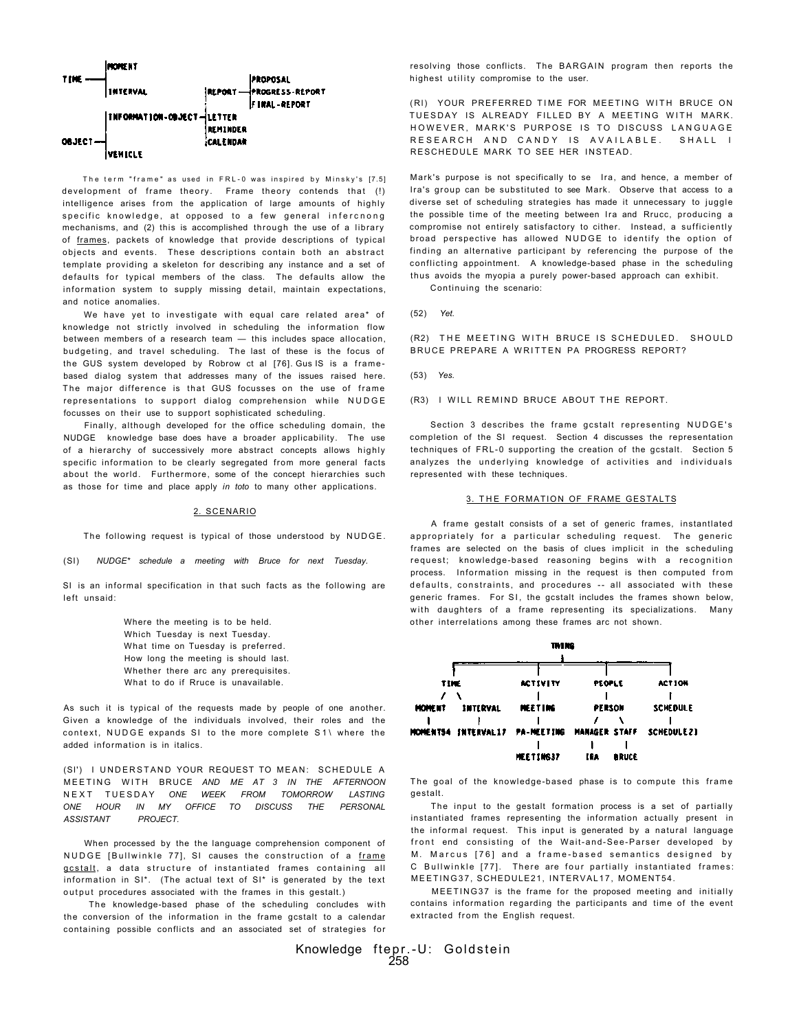

The term "frame" as used in FRL-0 was inspired by Minsky's [7.5] development of frame theory . Frame theory contends that (!) intelligence arises from the application of large amounts of highly specific knowledge, at opposed to a few general infercnong mechanisms, and (2) this is accomplished through the use of a library of frames, packets of knowledge that provide descriptions of typical objects and events. These descriptions contain both an abstract template providing a skeleton for describing any instance and a set of defaults for typical members of the class. The defaults allow the information system to supply missing detail, maintain expectations, and notice anomalies.

We have yet to investigate with equal care related area\* of knowledge not strictly involved in scheduling the information flow between members of a research team — this includes space allocation, budgeting, and travel scheduling. The last of these is the focus of the GUS system developed by Robrow ct al [76]. Gus IS is a framebased dialog system that addresses many of the issues raised here. The major difference is that GUS focusses on the use of frame representations to support dialog comprehension while NUDGE focusses on their use to support sophisticated scheduling.

Finally, although developed for the office scheduling domain, the NUDGE knowledge base does have a broader applicability. The use of a hierarchy of successively more abstract concepts allows highly specific information to be clearly segregated from more general facts about the world. Furthermore, some of the concept hierarchies such as those for time and place apply *in toto* to many other applications.

# 2. SCENARIO

The following request is typical of those understood by NUDGE.

## (SI) *NUDGE\* schedule a meeting with Bruce for next Tuesday.*

SI is an informal specification in that such facts as the following are left unsaid:

> Where the meeting is to be held. Which Tuesday is next Tuesday. What time on Tuesday is preferred. How long the meeting is should last. Whether there arc any prerequisites. What to do if Rruce is unavailable.

As such it is typical of the requests made by people of one another. Given a knowledge of the individuals involved, their roles and the context, NUDGE expands SI to the more complete S1\ where the added information is in italics.

(SI') I UNDERSTAND YOUR REQUEST TO MEAN: SCHEDULE A MEETIN G WIT H BRUCE *AND ME AT 3 IN THE AFTERNOON*  NEX T TUESDA Y *ONE WEEK FROM TOMORROW LASTING ONE HOUR IN MY OFFICE TO DISCUSS THE PERSONAL ASSISTANT PROJECT.* 

When processed by the the language comprehension component of NUDGE [Bullwinkle 77], SI causes the construction of a frame gcstalt, a data structure of instantiated frames containing all information in SI\*. (The actual text of SI\* is generated by the text output procedures associated with the frames in this gestalt.)

The knowledge-based phase of the scheduling concludes with the conversion of the information in the frame gcstalt to a calendar containing possible conflicts and an associated set of strategies for

resolving those conflicts. The BARGAIN program then reports the highest utility compromise to the user.

(RI) YOUR PREFERRED TIME FOR MEETING WITH BRUCE ON TUESDAY IS ALREADY FILLED BY A MEETING WITH MARK. HOWEVER, MARK'S PURPOSE IS TO DISCUSS LANGUAGE RESEARCH AND CANDY IS AVAILABLE. SHALL I RESCHEDULE MARK TO SEE HER INSTEAD.

Mark's purpose is not specifically to se Ira, and hence, a member of Ira's group can be substituted to see Mark. Observe that access to a diverse set of scheduling strategies has made it unnecessary to juggle the possible time of the meeting between Ira and Rrucc, producing a compromise not entirely satisfactory to cither. Instead, a sufficiently broad perspective has allowed NUDGE to identify the option of finding an alternative participant by referencing the purpose of the conflicting appointment. A knowledge-based phase in the scheduling thus avoids the myopia a purely power-based approach can exhibit. Continuing the scenario:

(52) *Yet.* 

(R2) THE MEETING WITH BRUCE IS SCHEDULED. SHOULD BRUCE PREPARE A WRITTEN PA PROGRESS REPORT?

(53) *Yes.* 

(R3) I WILL REMIND BRUCE ABOUT THE REPORT.

Section 3 describes the frame gcstalt representing NUDGE's completion of the SI request. Section 4 discusses the representation techniques of FRL-0 supporting the creation of the gcstalt. Section 5 analyzes the underlying knowledge of activities and individuals represented with these techniques.

# 3. THE FORMATION OF FRAME GESTALTS

A frame gestalt consists of a set of generic frames, instantlated appropriately for a particular scheduling request. The generic frames are selected on the basis of clues implicit in the scheduling request; knowledge-based reasoning begins with a recognition process. Information missing in the request is then computed from defaults, constraints, and procedures -- all associated with these generic frames. For SI, the gcstalt includes the frames shown below, with daughters of a frame representing its specializations. Many other interrelations among these frames arc not shown.



The goal of the knowledge-based phase is to compute this frame gestalt.

The input to the gestalt formation process is a set of partially instantiated frames representing the information actually present in the informal request. This input is generated by a natural language front end consisting of the Wait-and-See-Parser developed by M. Marcus [76] and a frame-based semantics designed by C Bullwinkle [77]. There are four partially instantiated frames: MEETING37 , SCHEDULE21, INTERVAL17 , MOMENT54.

MEETING37 is the frame for the proposed meeting and initially contains information regarding the participants and time of the event extracted from the English request.

Knowledge ftepr.-U: Goldstein 258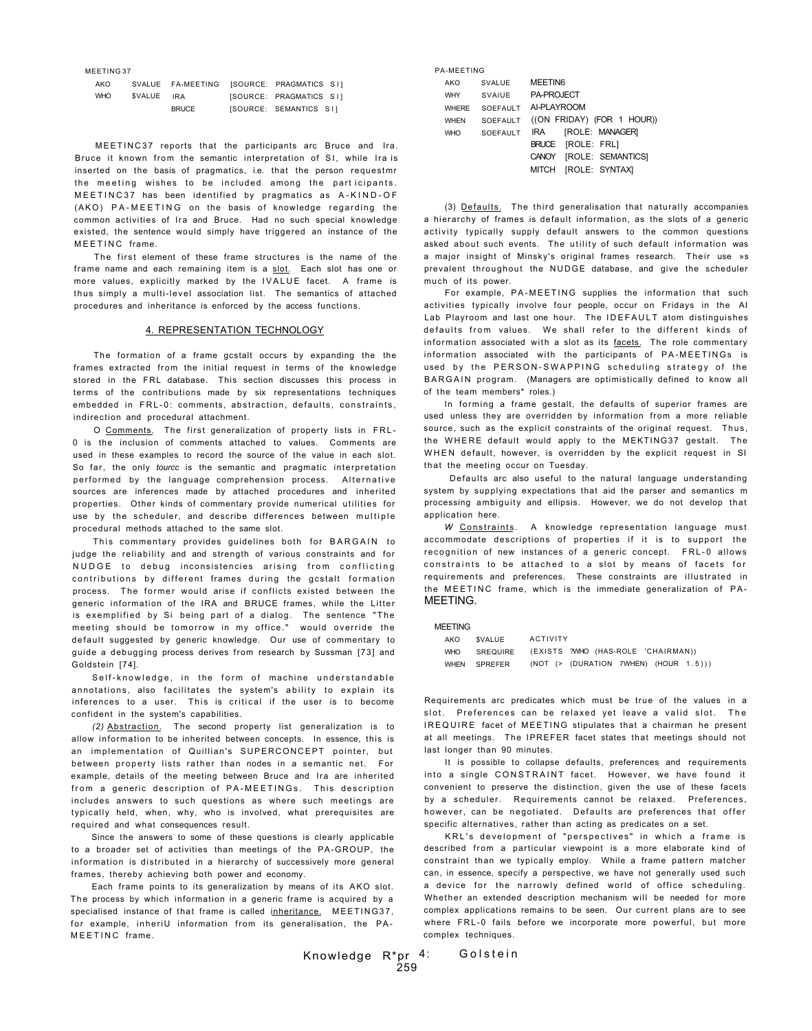MEETING 37

| AKO        |            | SVALUE FA-MEETING [SOURCE: PRAGMATICS SI] |                         |  |
|------------|------------|-------------------------------------------|-------------------------|--|
| <b>WHO</b> | SVALUE IRA |                                           | ISOURCE: PRAGMATICS SIL |  |
|            |            | <b>BRUCE</b>                              | ISOURCE: SEMANTICS SII  |  |

MEETINC37 reports that the participants arc Bruce and Ira. Bruce it known from the semantic interpretation of SI, while Ira is inserted on the basis of pragmatics, i.e. that the person requestmr the meeting wishes to be included among the participants. MEETINC37 has been identified by pragmatics as A-KIND-OF (AKO) PA-MEETING on the basis of knowledge regarding the common activities of Ira and Bruce. Had no such special knowledge existed, the sentence would simply have triggered an instance of the MEETING frame.

The first element of these frame structures is the name of the frame name and each remaining item is a slot. Each slot has one or more values, explicitly marked by the IVALUE facet. A frame is thus simply a multi-level association list. The semantics of attached procedures and inheritance is enforced by the access functions.

# 4. REPRESENTATION TECHNOLOGY

The formation of a frame gcstalt occurs by expanding the the frames extracted from the initial request in terms of the knowledge stored in the FRL database. This section discusses this process in terms of the contributions made by six representations techniques embedded in FRL-0: comments, abstraction, defaults, constraints, indirection and procedural attachment.

O Comments. The first generalization of property lists in FRL - 0 is the inclusion of comments attached to values. Comments are used in these examples to record the source of the value in each slot. So far, the only *tourcc* is the semantic and pragmatic interpretation performed by the language comprehension process. Alternative sources are inferences made by attached procedures and inherited properties. Other kinds of commentary provide numerical utilities for use by the scheduler, and describe differences between multiple procedural methods attached to the same slot.

This commentary provides guidelines both for BARGAIN to judge the reliability and and strength of various constraints and for NUDGE to debug inconsistencies arising from conflicting contributions by different frames during the gcstalt formation process. The former would arise if conflicts existed between the generic information of the IRA and BRUCE frames, while the Litter is exemplified by Si being part of a dialog. The sentence "The meeting should be tomorrow in my office." would override the default suggested by generic knowledge. Our use of commentary to guide a debugging process derives from research by Sussman [73] and Goldstein [74].

Self-knowledge, in the form of machine understandable annotations, also facilitates the system's ability to explain its inferences to a user. This is critical if the user is to become confident in the system's capabilities.

*(2)* Abstraction. The second property list generalization is to allow information to be inherited between concepts. In essence, this is an implementation of Quillian's SUPERCONCEPT pointer, but between property lists rather than nodes in a semantic net. For example, details of the meeting between Bruce and Ira are inherited from a generic description of PA-MEETINGs. This description includes answers to such questions as where such meetings are typically held, when, why, who is involved, what prerequisites are required and what consequences result.

Since the answers to some of these questions is clearly applicable to a broader set of activities than meetings of the PA-GROUP, the information is distributed in a hierarchy of successively more general frames, thereby achieving both power and economy.

Each frame points to its generalization by means of its AKO slot. The process by which information in a generic frame is acquired by a specialised instance of that frame is called inheritance. MEETING37, for example, inheriU information from its generalisation, the PA-MEETIN C frame.

| <b>PA-MEETING</b> |                 |                                       |
|-------------------|-----------------|---------------------------------------|
| AKO               | <b>SVALUE</b>   | MEETIN6                               |
| <b>WHY</b>        | SVAIUF          | PA-PROJECT                            |
| <b>WHERE</b>      | SOFFAULT        | AI-PLAYROOM                           |
| <b>WHEN</b>       | SOEFAULT        | ((ON FRIDAY) (FOR 1 HOUR))            |
| <b>WHO</b>        | <b>SOFFAULT</b> | [ROLE: MANAGER]<br>IRA                |
|                   |                 | [ROLE: FRL]<br><b>BRUCE</b>           |
|                   |                 | [ROLE: SEMANTICS]<br>CANOY            |
|                   |                 | <b>IROLE: SYNTAXI</b><br><b>MITCH</b> |

(3) Defaults. The third generalisation that naturally accompanies a hierarchy of frames is default information, as the slots of a generic activity typically supply default answers to the common questions asked about such events. The utility of such default information was a major insight of Minsky's original frames research. Their use »s prevalent throughout the NUDGE database, and give the scheduler much of its power.

For example, PA-MEETING supplies the information that such activities typically involve four people, occur on Fridays in the AI Lab Playroom and last one hour. The IDEFAULT atom distinguishes defaults from values. We shall refer to the different kinds of information associated with a slot as its facets. The role commentary information associated with the participants of PA-MEETINGs is used by the PERSON-SWAPPING scheduling strategy of the BARGAIN program. (Managers are optimistically defined to know all of the team members\* roles.)

In forming a frame gestalt, the defaults of superior frames are used unless they are overridden by information from a more reliable source, such as the explicit constraints of the original request. Thus , the WHERE default would apply to the MEKTING37 gestalt. The WHEN default, however, is overridden by the explicit request in SI that the meeting occur on Tuesdav.

Defaults arc also useful to the natural language understanding system by supplying expectations that aid the parser and semantics m processing ambiguity and ellipsis. However, we do not develop that application here.

*W* Constraints. A knowledge representation language must accommodate descriptions of properties if it is to support the recognition of new instances of a generic concept. FRL-0 allows constraints to be attached to a slot by means of facets for requirements and preferences. These constraints are illustrated in the MEETINC frame, which is the immediate generalization of PA-**MEETING** 

MEETING

| AKO        | SVALUE   | ACTIVITY |                                         |  |  |
|------------|----------|----------|-----------------------------------------|--|--|
| <b>WHO</b> | SREQUIRE |          | (EXISTS ?WHO (HAS-ROLE 'CHAIRMAN))      |  |  |
| WHEN       | SPREFER  |          | (NOT $(>$ (DURATION 7WHEN) (HOUR 1.5))) |  |  |

Requirements arc predicates which must be true of the values in a slot. Preferences can be relaxed vet leave a valid slot. The IREQUIRE facet of MEETING stipulates that a chairman he present at all meetings. The IPREFER facet states that meetings should not last longer than 90 minutes.

It is possible to collapse defaults, preferences and requirements into a single CONSTRAINT facet. However, we have found it convenient to preserve the distinction, given the use of these facets by a scheduler. Requirements cannot be relaxed. Preferences, however, can be negotiated. Defaults are preferences that offer specific alternatives, rather than acting as predicates on a set.

KRL's development of "perspectives" in which a frame is described from a particular viewpoint is a more elaborate kind of constraint than we typically employ. While a frame pattern matcher can, in essence, specify a perspective, we have not generally used such a device for the narrowly defined world of office scheduling. Whether an extended description mechanism will be needed for more complex applications remains to be seen. Our current plans are to see where FRL-0 fails before we incorporate more powerful, but more complex techniques.

Knowledge R\*pr 259 Golstein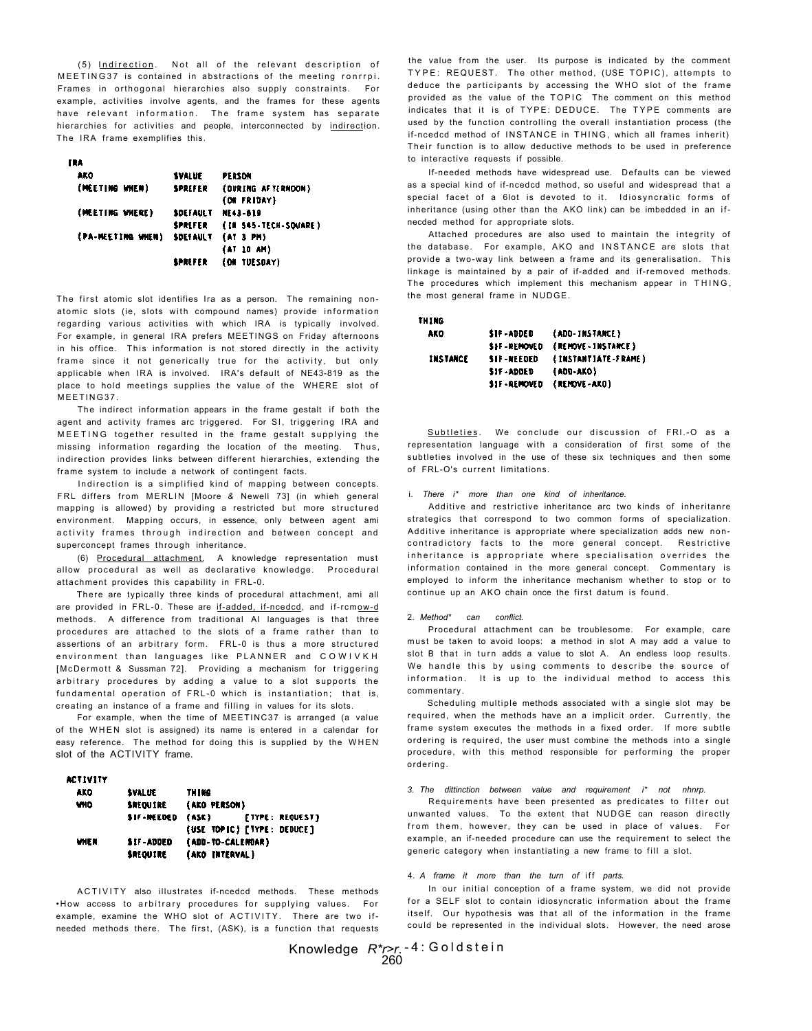(5) Indirection. Not all of the relevant description of MEETING37 is contained in abstractions of the meeting ronrrpi. Frames in orthogonal hierarchies also supply constraints. For example, activities involve agents, and the frames for these agents have relevant information. The frame system has separate hierarchies for activities and people, interconnected by indirection. The IRA frame exemplifies this.

### m

| . .               |                 |                      |
|-------------------|-----------------|----------------------|
| AKO               | <b>SVALUE</b>   | PERSON               |
| (MEETING WHEN)    | SPREFER         | (OURING AFTERNOON)   |
|                   |                 | (ON FRIDAY)          |
| (MEETING WHERE)   | <b>SDEFAULT</b> | <b>NE43-819</b>      |
|                   | SPREFER         | (IN 545-TECH-SOUARE) |
| (PA-MEETING WHEN) | <b>SDEFAULT</b> | (AT 3 PM)            |
|                   |                 | (AT 10 AM)           |
|                   | SPREFER         | (ON TUESDAY)         |
|                   |                 |                      |

The first atomic slot identifies Ira as a person. The remaining nonatomic slots (ie, slots with compound names) provide information regarding various activities with which IRA is typically involved. For example, in general IRA prefers MEETINGS on Friday afternoons in his office. This information is not stored directly in the activity frame since it not generically true for the activity, but only applicable when IRA is involved. IRA's default of NE43-819 as the place to hold meetings supplies the value of the WHERE slot of MEETING37

The indirect information appears in the frame gestalt if both the agent and activity frames arc triggered. For SI, triggering IRA and MEETING together resulted in the frame gestalt supplying the missing information regarding the location of the meeting. Thus, indirection provides links between different hierarchies, extending the frame system to include a network of contingent facts.

Indirection is a simplified kind of mapping between concepts. FRL differs from MERLIN [Moore & Newell 73] (in whieh general mapping is allowed) by providing a restricted but more structured environment. Mapping occurs, in essence, only between agent ami activity frames through indirection and between concept and superconcept frames through inheritance.

(6) Procedural attachment. A knowledge representation must allow procedural as well as declarative knowledge. Procedural attachment provides this capability in FRL-0.

There are typically three kinds of procedural attachment, ami all are provided in FRL-0. These are if-added, if-ncedcd, and if-rcmow-d methods. A difference from traditional AI languages is that three procedures are attached to the slots of a frame rather than to assertions of an arbitrary form. FRL-0 is thus a more structured environment than languages like PLANNER and COWIVKH [McDermott & Sussman 72]. Providing a mechanism for triggering arbitrary procedures by adding a value to a slot supports the fundamental operation of FRL-0 which is instantiation; that is, creating an instance of a frame and filling in values for its slots.

For example, when the time of MEETINC37 is arranged (a value of the WHEN slot is assigned) its name is entered in a calendar for easy reference. The method for doing this is supplied by the WHEN slot of the ACTIVITY frame.

# **ACTIVITY**

| AKO        | SVALUE            | TH I MG                         |
|------------|-------------------|---------------------------------|
| <b>VHO</b> | <b>SREGUIRE</b>   | (AKO PERSON)                    |
|            | <b>SIF-MEEDED</b> | <b>[TYPE: REQUEST]</b><br>(ASK) |
|            |                   | (USE TOPIC) [TYPE: DEDUCE]      |
| WHEN       | <b>SIF-ADDED</b>  | (ADD-TO-CALENDAR)               |
|            | SREQUIRE          | (AKO INTERVAL)                  |

ACTIVITY also illustrates if-ncedcd methods. These methods •How access to arbitrary procedures for supplying values. For example, examine the WHO slot of ACTIVITY. There are two ifneeded methods there. The first, (ASK), is a function that requests

the value from the user. Its purpose is indicated by the comment TYPE: REQUEST. The other method, (USE TOPIC), attempts to deduce the participants by accessing the WHO slot of the frame provided as the value of the TOPIC The comment on this method indicates that it is of TYPE: DEDUCE. The TYPE comments are used by the function controlling the overall instantiation process (the if-ncedcd method of INSTANCE in THING, which all frames inherit) Their function is to allow deductive methods to be used in preference to interactive requests if possible.

If-needed methods have widespread use. Defaults can be viewed as a special kind of if-ncedcd method, so useful and widespread that a special facet of a 6lot is devoted to it. Idiosyncratic forms of inheritance (using other than the AKO link) can be imbedded in an ifnecded method for appropriate slots.

Attached procedures are also used to maintain the integrity of the database. For example, AKO and INSTANCE are slots that provide a two-way link between a frame and its generalisation. This linkage is maintained by a pair of if-added and if-removed methods. The procedures which implement this mechanism appear in THING, the most general frame in NUDGE.

### THING

| AKO      | \$1F-ADDED         | (ADD-INSTANCE)      |
|----------|--------------------|---------------------|
|          | <b>SIF-REMOVED</b> | (REMOVE-INSTANCE)   |
| INSTANCE | SIF-NEEDED         | (INSTANTIATE-FRAME) |
|          | <b>SIF-ADDED</b>   | (ADD-AKO)           |
|          | <b>SIF-REMOVED</b> | (REMOVE-AKO)        |

Subtleties. We conclude our discussion of FRI.-O as a representation language with a consideration of first some of the subtleties involved in the use of these six techniques and then some of FRL-O's current limitations.

### There i<sup>\*</sup> more than one kind of inheritance.

Additive and restrictive inheritance arc two kinds of inheritanre strategics that correspond to two common forms of specialization. Additive inheritance is appropriate where specialization adds new noncontradictory facts to the more general concept. Restrictive inheritance is appropriate where specialisation overrides the information contained in the more general concept. Commentary is employed to inform the inheritance mechanism whether to stop or to continue up an AKO chain once the first datum is found.

### 2. *Method\* can conflict.*

Procedural attachment can be troublesome. For example, care must be taken to avoid loops: a method in slot A may add a value to slot B that in turn adds a value to slot A. An endless loop results. We handle this by using comments to describe the source of information. It is up to the individual method to access this commentary.

Scheduling multiple methods associated with a single slot may be required, when the methods have an a implicit order. Currently, the frame system executes the methods in a fixed order. If more subtle ordering is required, the user must combine the methods into a single procedure, with this method responsible for performing the proper ordering.

### *3. The dittinction between value and requirement i\* not nhnrp.*

Requirements have been presented as predicates to filter out unwanted values. To the extent that NUDGE can reason directly from them, however, they can be used in place of values. For example, an if-needed procedure can use the requirement to select the generic category when instantiating a new frame to fill a slot.

# 4. A frame it more than the turn of iff parts.

In our initial conception of a frame system, we did not provide for a SELF slot to contain idiosyncratic information about the frame itself. Our hypothesis was that all of the information in the frame could be represented in the individual slots. However, the need arose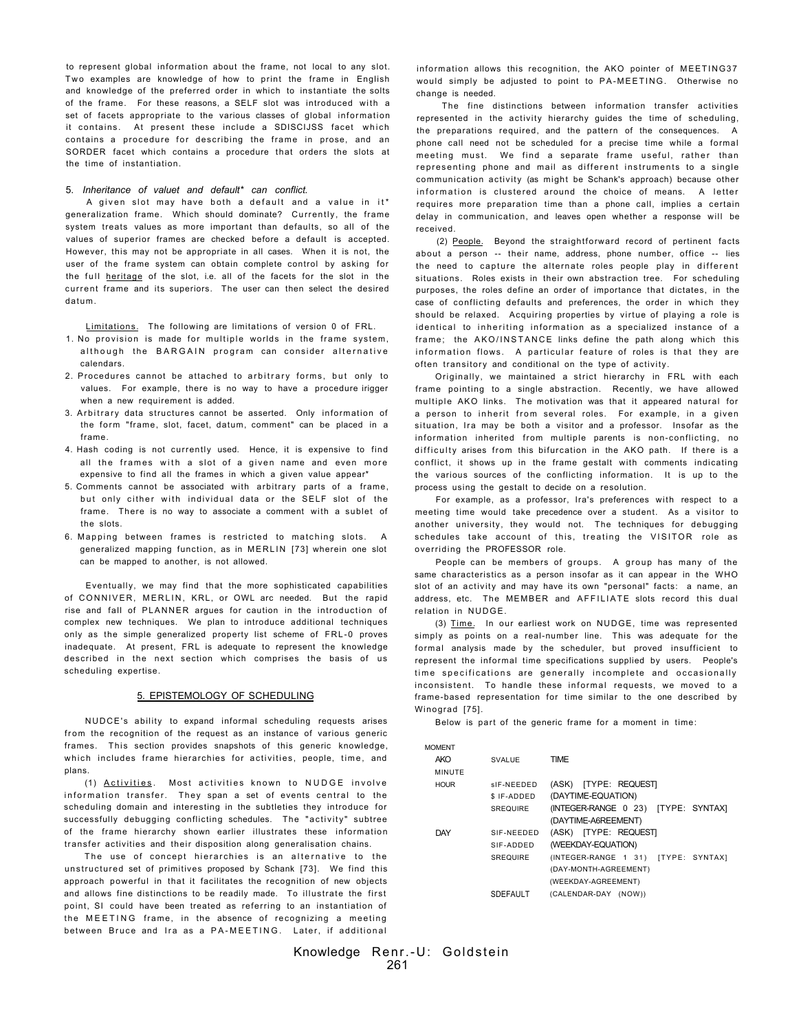to represent global information about the frame, not local to any slot. Two examples are knowledge of how to print the frame in English and knowledge of the preferred order in which to instantiate the solts of the frame. For these reasons, a SELF slot was introduced with a set of facets appropriate to the various classes of global information it contains. At present these include a SDISCIJSS facet which contains a procedure for describing the frame in prose, and an SORDER facet which contains a procedure that orders the slots at the time of instantiation.

# 5. *Inheritance of valuet and default\* can conflict.*

A given slot may have both a default and a value in it\* generalization frame. Which should dominate? Currently, the frame system treats values as more important than defaults, so all of the values of superior frames are checked before a default is accepted. However, this may not be appropriate in all cases. When it is not, the user of the frame system can obtain complete control by asking for the full heritage of the slot, i.e. all of the facets for the slot in the current frame and its superiors. The user can then select the desired datum.

Limitations. The following are limitations of version 0 of FRL.

- 1. No provision is made for multiple worlds in the frame system, although the BARGAIN program can consider alternative calendars.
- 2. Procedures cannot be attached to arbitrary forms, but only to values. For example, there is no way to have a procedure irigger when a new requirement is added.
- 3. Arbitrary data structures cannot be asserted. Only information of the form "frame, slot, facet, datum, comment" can be placed in a frame.
- 4. Hash coding is not currently used. Hence, it is expensive to find all the frames with a slot of a given name and even more expensive to find all the frames in which a given value appear\*
- 5. Comments cannot be associated with arbitrary parts of a frame, but only cither with individual data or the SELF slot of the frame. There is no way to associate a comment with a sublet of the slots.
- 6. Mapping between frames is restricted to matching slots. A generalized mapping function, as in MERLIN [73] wherein one slot can be mapped to another, is not allowed.

Eventually, we may find that the more sophisticated capabilities of CONNIVER, MERLIN, KRL, or OWL arc needed. But the rapid rise and fall of PLANNER argues for caution in the introduction of complex new techniques. We plan to introduce additional techniques only as the simple generalized property list scheme of FRL-0 proves inadequate. At present, FRL is adequate to represent the knowledge described in the next section which comprises the basis of us scheduling expertise.

### 5. EPISTEMOLOGY OF SCHEDULING

NUDCE's ability to expand informal scheduling requests arises from the recognition of the request as an instance of various generic frames. This section provides snapshots of this generic knowledge, which includes frame hierarchies for activities, people, time, and plans.

(1) Activities. Most activities known to NUDGE involve information transfer. They span a set of events central to the scheduling domain and interesting in the subtleties they introduce for successfully debugging conflicting schedules. The "activity" subtree of the frame hierarchy shown earlier illustrates these information transfer activities and their disposition along generalisation chains.

The use of concept hierarchies is an alternative to the unstructured set of primitives proposed by Schank [73]. We find this approach powerful in that it facilitates the recognition of new objects and allows fine distinctions to be readily made. To illustrate the first point, SI could have been treated as referring to an instantiation of the MEETING frame, in the absence of recognizing a meeting between Bruce and Ira as a PA-MEETING. Later, if additional information allows this recognition, the AKO pointer of MEETING37 would simply be adjusted to point to PA-MEETING. Otherwise no change is needed.

The fine distinctions between information transfer activities represented in the activity hierarchy guides the time of scheduling, the preparations required, and the pattern of the consequences. A phone call need not be scheduled for a precise time while a formal meeting must. We find a separate frame useful, rather than representing phone and mail as different instruments to a single communication activity (as might be Schank's approach) because other information is clustered around the choice of means. A letter requires more preparation time than a phone call, implies a certain delay in communication, and leaves open whether a response will be received.

(2) People. Beyond the straightforward record of pertinent facts about a person -- their name, address, phone number, office -- lies the need to capture the alternate roles people play in different situations. Roles exists in their own abstraction tree. For scheduling purposes, the roles define an order of importance that dictates, in the case of conflicting defaults and preferences, the order in which they should be relaxed. Acquiring properties by virtue of playing a role is identical to inheriting information as a specialized instance of a frame; the AKO/INSTANCE links define the path along which this information flows. A particular feature of roles is that they are often transitory and conditional on the type of activity.

Originally, we maintained a strict hierarchy in FRL with each frame pointing to a single abstraction. Recently, we have allowed multiple AKO links. The motivation was that it appeared natural for a person to inherit from several roles. For example, in a given situation, Ira may be both a visitor and a professor. Insofar as the information inherited from multiple parents is non-conflicting, no difficulty arises from this bifurcation in the AKO path. If there is a conflict, it shows up in the frame gestalt with comments indicating the various sources of the conflicting information. It is up to the process using the gestalt to decide on a resolution.

For example, as a professor, Ira's preferences with respect to a meeting time would take precedence over a student. As a visitor to another university, they would not. The techniques for debugging schedules take account of this, treating the VISITOR role as overriding the PROFESSOR role.

People can be members of groups. A group has many of the same characteristics as a person insofar as it can appear in the WHO slot of an activity and may have its own "personal" facts: a name, an address, etc. The MEMBER and AFFILIATE slots record this dual relation in NUDGE.

(3) Time. In our earliest work on NUDGE, time was represented simply as points on a real-number line. This was adequate for the formal analysis made by the scheduler, but proved insufficient to represent the informal time specifications supplied by users. People's time specifications are generally incomplete and occasionally inconsistent. To handle these informal requests, we moved to a frame-based representation for time similar to the one described by Winograd [75].

Below is part of the generic frame for a moment in time:

| <b>MOMENT</b> |                 |                                     |
|---------------|-----------------|-------------------------------------|
| <b>AKO</b>    | <b>SVALUE</b>   | <b>TIME</b>                         |
| MINUTE        |                 |                                     |
| <b>HOUR</b>   | sIF-NEEDED      | (ASK) [TYPE: REQUEST]               |
|               | \$ IF-ADDED     | (DAYTIME-EQUATION)                  |
|               | <b>SREQUIRE</b> | (INTEGER-RANGE 0 23) [TYPE: SYNTAX] |
|               |                 | (DAYTIME-A6REEMENT)                 |
| DAY           | SIF-NEEDED      | (ASK) [TYPE: REQUEST]               |
|               | SIF-ADDED       | (WEEKDAY-EQUATION)                  |
|               | <b>SREQUIRE</b> | (INTEGER-RANGE 1 31) [TYPE: SYNTAX] |
|               |                 | (DAY-MONTH-AGREEMENT)               |
|               |                 | (WEEKDAY-AGREEMENT)                 |
|               | <b>SDEFAULT</b> | (CALENDAR-DAY (NOW))                |
|               |                 |                                     |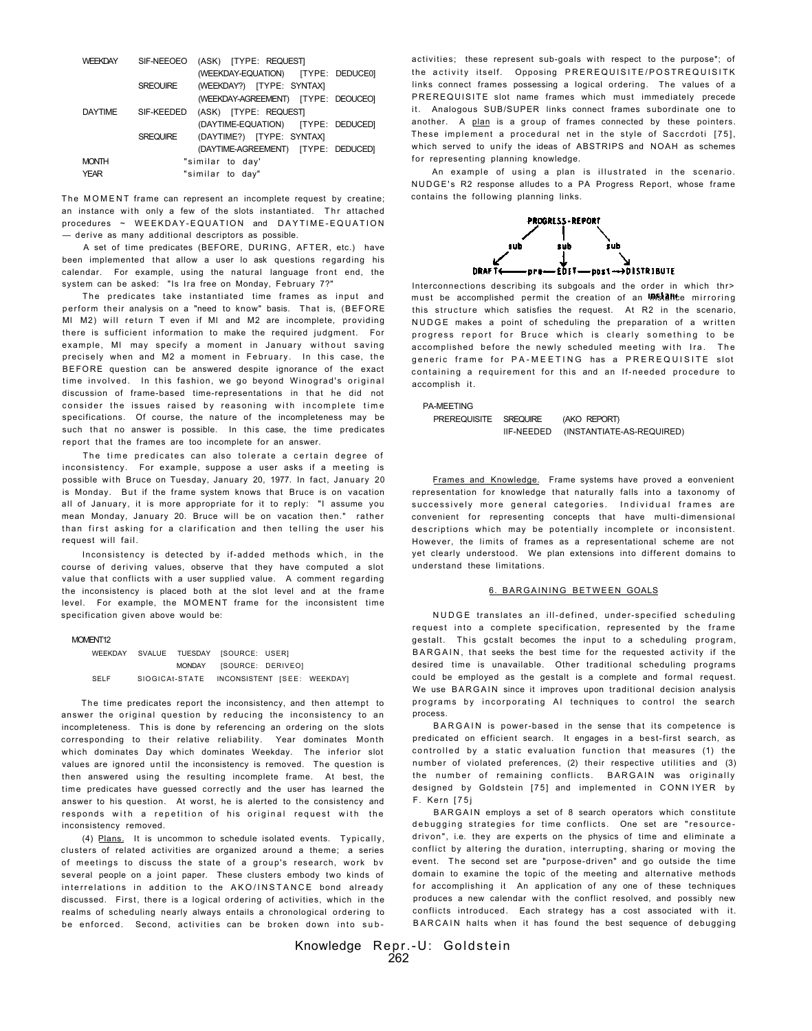| <b>WEEKDAY</b> | (ASK) [TYPE: REQUEST]<br>SIF-NEEOEO          |
|----------------|----------------------------------------------|
|                | (WEEKDAY-EQUATION) [TYPE: DEDUCE0]           |
|                | (WEEKDAY?) [TYPE: SYNTAX]<br><b>SREQUIRE</b> |
|                | (WEEKDAY-AGREEMENT) [TYPE: DEOUCEO]          |
| <b>DAYTIME</b> | SIF-KEEDED<br>(ASK) [TYPE: REQUEST]          |
|                | (DAYTIME-EQUATION) [TYPE: DEDUCED]           |
|                | (DAYTIME?) [TYPE: SYNTAX]<br>SREQUIRE        |
|                | (DAYTIME-AGREEMENT) [TYPE: DEDUCED]          |
| <b>MONTH</b>   | "similar to day'                             |
| <b>YEAR</b>    | "similar to day"                             |

The MOMENT frame can represent an incomplete request by creatine; an instance with only a few of the slots instantiated. The attached procedures ~ WEEKDAY-EQUATION and DAYTIME-EQUATION — derive as many additional descriptors as possible.

A set of time predicates (BEFORE, DURING, AFTER, etc.) have been implemented that allow a user lo ask questions regarding his calendar. For example, using the natural language front end, the system can be asked: "Is Ira free on Monday, February 7?"

The predicates take instantiated time frames as input and perform their analysis on a "need to know" basis. That is, (BEFORE MI M2) will return T even if MI and M2 are incomplete, providing there is sufficient information to make the required judgment. For example, MI may specify a moment in January without saving precisely when and M2 a moment in February. In this case, the BEFORE question can be answered despite ignorance of the exact time involved. In this fashion, we go beyond Winograd's original discussion of frame-based time-representations in that he did not consider the issues raised by reasoning with incomplete time specifications. Of course, the nature of the incompleteness may be such that no answer is possible. In this case, the time predicates report that the frames are too incomplete for an answer.

The time predicates can also tolerate a certain degree of inconsistency. For example, suppose a user asks if a meeting is possible with Bruce on Tuesday, January 20, 1977. In fact, January 20 is Monday. But if the frame system knows that Bruce is on vacation all of January, it is more appropriate for it to reply: "I assume you mean Monday, January 20. Bruce will be on vacation then." rather than first asking for a clarification and then telling the user his request will fail.

Inconsistency is detected by if-added methods which , in the course of deriving values, observe that they have computed a slot value that conflicts with a user supplied value. A comment regarding the inconsistency is placed both at the slot level and at the frame level. For example, the MOMENT frame for the inconsistent time specification given above would be:

### MOMENT<sub>12</sub>

WEEKDAY SVALUE TUESDAY [SOURCE: USER] MONDAY [SOURCE: DERIVEO] SELF SlOGICAt-STATE INCONSISTENT [SEE: WEEKDAY]

The time predicates report the inconsistency, and then attempt to answer the original question by reducing the inconsistency to an incompleteness. This is done by referencing an ordering on the slots corresponding to their relative reliability. Year dominates Month which dominates Day which dominates Weekday. The inferior slot values are ignored until the inconsistency is removed. The question is then answered using the resulting incomplete frame. At best, the time predicates have guessed correctly and the user has learned the answer to his question. At worst, he is alerted to the consistency and responds with a repetition of his original request with the inconsistency removed.

(4) Plans. It is uncommon to schedule isolated events. Typically, clusters of related activities are organized around a theme; a series of meetings to discuss the state of a group's research, work by several people on a joint paper. These clusters embody two kinds of interrelations in addition to the AKO/INSTANCE bond already discussed. First, there is a logical ordering of activities, which in the realms of scheduling nearly always entails a chronological ordering to be enforced. Second, activities can be broken down into subactivities; these represent sub-goals with respect to the purpose\*; of the activity itself. Opposing PREREQUISITE/POSTREQUISITK links connect frames possessing a logical ordering. The values of a PREREQUISITE slot name frames which must immediately precede it. Analogous SUB/SUPER links connect frames subordinate one to another. A plan is a group of frames connected by these pointers. These implement a procedural net in the style of Saccrdoti [75], which served to unify the ideas of ABSTRIPS and NOAH as schemes for representing planning knowledge.

An example of using a plan is illustrated in the scenario. NUDGE's R2 response alludes to a PA Progress Report, whose frame contains the following planning links.



Interconnections describing its subgoals and the order in which thr> must be accomplished permit the creation of an **IRStant**e mirroring this structure which satisfies the request. At R2 in the scenario, NUDGE makes a point of scheduling the preparation of a written progress report for Bruce which is clearly something to be accomplished before the newly scheduled meeting with Ira. The generic frame for PA-MEETING has a PREREQUISITE slot containing a requirement for this and an If-needed procedure to accomplish it.

### PA-MEETING

PREREQUISITE SREQUIRE (AKO REPORT) lIF-NEEDED (INSTANTIATE-AS-REQUIRED)

Frames and Knowledge. Frame systems have proved a eonvenient representation for knowledge that naturally falls into a taxonomy of successively more general categories. Individual frames are convenient for representing concepts that have multi-dimensional descriptions which may be potentially incomplete or inconsistent. However, the limits of frames as a representational scheme are not yet clearly understood. We plan extensions into different domains to understand these limitations.

### 6. BARGAINING BETWEEN GOALS

NUDGE translates an ill-defined, under-specified scheduling request into a complete specification, represented by the frame gestalt. This gostalt becomes the input to a scheduling program, BARGAIN, that seeks the best time for the requested activity if the desired time is unavailable. Other traditional scheduling programs could be employed as the gestalt is a complete and formal request. We use BARGAIN since it improves upon traditional decision analysis programs by incorporating AI techniques to control the search process.

BARGAIN is power-based in the sense that its competence is predicated on efficient search. It engages in a best-first search, as controlled by a static evaluation function that measures (1) the number of violated preferences, (2) their respective utilities and (3) the number of remaining conflicts. BARGAIN was originally designed by Goldstein [75] and implemented in CONNIYER by F. Kern [75j

BARGAIN employs a set of 8 search operators which constitute debugging strategies for time conflicts. One set are "resourcedrivon", i.e. they are experts on the physics of time and eliminate a conflict by altering the duration, interrupting, sharing or moving the event. The second set are "purpose-driven" and go outside the time domain to examine the topic of the meeting and alternative methods for accomplishing it An application of any one of these techniques produces a new calendar with the conflict resolved, and possibly new conflicts introduced. Each strategy has a cost associated with it. BARCAIN halts when it has found the best sequence of debugging